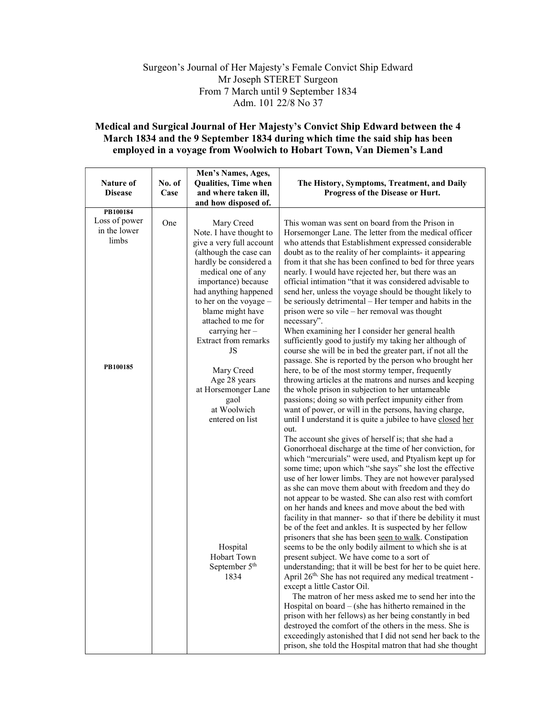## Surgeon's Journal of Her Majesty's Female Convict Ship Edward Mr Joseph STERET Surgeon From 7 March until 9 September 1834 Adm. 101 22/8 No 37

## Medical and Surgical Journal of Her Majesty's Convict Ship Edward between the 4 March 1834 and the 9 September 1834 during which time the said ship has been employed in a voyage from Woolwich to Hobart Town, Van Diemen's Land

|                |        | Men's Names, Ages,                     |                                                                                                               |
|----------------|--------|----------------------------------------|---------------------------------------------------------------------------------------------------------------|
| Nature of      | No. of | Qualities, Time when                   | The History, Symptoms, Treatment, and Daily                                                                   |
| <b>Disease</b> | Case   | and where taken ill,                   | Progress of the Disease or Hurt.                                                                              |
|                |        | and how disposed of.                   |                                                                                                               |
| PB100184       |        |                                        |                                                                                                               |
| Loss of power  | One    | Mary Creed                             | This woman was sent on board from the Prison in                                                               |
| in the lower   |        | Note. I have thought to                | Horsemonger Lane. The letter from the medical officer                                                         |
| limbs          |        | give a very full account               | who attends that Establishment expressed considerable                                                         |
|                |        | (although the case can                 | doubt as to the reality of her complaints- it appearing                                                       |
|                |        | hardly be considered a                 | from it that she has been confined to bed for three years                                                     |
|                |        | medical one of any                     | nearly. I would have rejected her, but there was an                                                           |
|                |        | importance) because                    | official intimation "that it was considered advisable to                                                      |
|                |        | had anything happened                  | send her, unless the voyage should be thought likely to                                                       |
|                |        | to her on the voyage -                 | be seriously detrimental – Her temper and habits in the                                                       |
|                |        | blame might have<br>attached to me for | prison were so vile - her removal was thought                                                                 |
|                |        | carrying her -                         | necessary".<br>When examining her I consider her general health                                               |
|                |        | <b>Extract from remarks</b>            | sufficiently good to justify my taking her although of                                                        |
|                |        | JS                                     | course she will be in bed the greater part, if not all the                                                    |
|                |        |                                        | passage. She is reported by the person who brought her                                                        |
| PB100185       |        | Mary Creed                             | here, to be of the most stormy temper, frequently                                                             |
|                |        | Age 28 years                           | throwing articles at the matrons and nurses and keeping                                                       |
|                |        | at Horsemonger Lane                    | the whole prison in subjection to her untameable                                                              |
|                |        | gaol                                   | passions; doing so with perfect impunity either from                                                          |
|                |        | at Woolwich                            | want of power, or will in the persons, having charge,                                                         |
|                |        | entered on list                        | until I understand it is quite a jubilee to have closed her                                                   |
|                |        |                                        | out.                                                                                                          |
|                |        |                                        | The account she gives of herself is; that she had a                                                           |
|                |        |                                        | Gonorrhoeal discharge at the time of her conviction, for                                                      |
|                |        |                                        | which "mercurials" were used, and Ptyalism kept up for                                                        |
|                |        |                                        | some time; upon which "she says" she lost the effective                                                       |
|                |        |                                        | use of her lower limbs. They are not however paralysed<br>as she can move them about with freedom and they do |
|                |        |                                        | not appear to be wasted. She can also rest with comfort                                                       |
|                |        |                                        | on her hands and knees and move about the bed with                                                            |
|                |        |                                        | facility in that manner- so that if there be debility it must                                                 |
|                |        |                                        | be of the feet and ankles. It is suspected by her fellow                                                      |
|                |        |                                        | prisoners that she has been seen to walk. Constipation                                                        |
|                |        | Hospital                               | seems to be the only bodily ailment to which she is at                                                        |
|                |        | Hobart Town                            | present subject. We have come to a sort of                                                                    |
|                |        | September 5 <sup>th</sup>              | understanding; that it will be best for her to be quiet here.                                                 |
|                |        | 1834                                   | April 26 <sup>th,</sup> She has not required any medical treatment -                                          |
|                |        |                                        | except a little Castor Oil.                                                                                   |
|                |        |                                        | The matron of her mess asked me to send her into the                                                          |
|                |        |                                        | Hospital on board $-$ (she has hitherto remained in the                                                       |
|                |        |                                        | prison with her fellows) as her being constantly in bed                                                       |
|                |        |                                        | destroyed the comfort of the others in the mess. She is                                                       |
|                |        |                                        | exceedingly astonished that I did not send her back to the                                                    |
|                |        |                                        | prison, she told the Hospital matron that had she thought                                                     |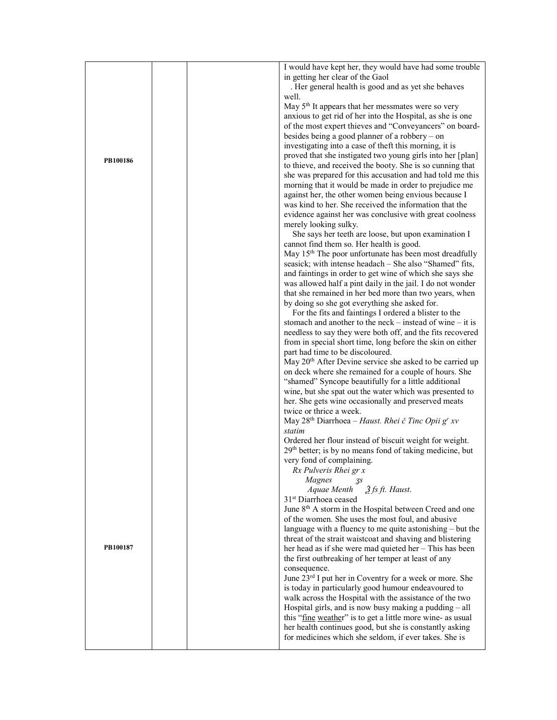|          |  | I would have kept her, they would have had some trouble                    |
|----------|--|----------------------------------------------------------------------------|
|          |  | in getting her clear of the Gaol                                           |
|          |  | . Her general health is good and as yet she behaves                        |
|          |  | well.                                                                      |
|          |  | May 5 <sup>th</sup> It appears that her messmates were so very             |
|          |  | anxious to get rid of her into the Hospital, as she is one                 |
|          |  | of the most expert thieves and "Conveyancers" on board-                    |
|          |  | besides being a good planner of a robbery - on                             |
|          |  | investigating into a case of theft this morning, it is                     |
|          |  | proved that she instigated two young girls into her [plan]                 |
| PB100186 |  | to thieve, and received the booty. She is so cunning that                  |
|          |  |                                                                            |
|          |  | she was prepared for this accusation and had told me this                  |
|          |  | morning that it would be made in order to prejudice me                     |
|          |  | against her, the other women being envious because I                       |
|          |  | was kind to her. She received the information that the                     |
|          |  | evidence against her was conclusive with great coolness                    |
|          |  | merely looking sulky.                                                      |
|          |  | She says her teeth are loose, but upon examination I                       |
|          |  | cannot find them so. Her health is good.                                   |
|          |  | May 15 <sup>th</sup> The poor unfortunate has been most dreadfully         |
|          |  | seasick; with intense headach - She also "Shamed" fits,                    |
|          |  | and faintings in order to get wine of which she says she                   |
|          |  | was allowed half a pint daily in the jail. I do not wonder                 |
|          |  | that she remained in her bed more than two years, when                     |
|          |  | by doing so she got everything she asked for.                              |
|          |  | For the fits and faintings I ordered a blister to the                      |
|          |  |                                                                            |
|          |  | stomach and another to the neck – instead of wine – it is                  |
|          |  | needless to say they were both off, and the fits recovered                 |
|          |  | from in special short time, long before the skin on either                 |
|          |  | part had time to be discoloured.                                           |
|          |  | May 20 <sup>th</sup> After Devine service she asked to be carried up       |
|          |  | on deck where she remained for a couple of hours. She                      |
|          |  | "shamed" Syncope beautifully for a little additional                       |
|          |  | wine, but she spat out the water which was presented to                    |
|          |  | her. She gets wine occasionally and preserved meats                        |
|          |  | twice or thrice a week.                                                    |
|          |  | May 28 <sup>th</sup> Diarrhoea - Haust. Rhei č Tinc Opii g <sup>r</sup> xv |
|          |  | statim                                                                     |
|          |  | Ordered her flour instead of biscuit weight for weight.                    |
|          |  | 29 <sup>th</sup> better; is by no means fond of taking medicine, but       |
|          |  | very fond of complaining.                                                  |
|          |  | Rx Pulveris Rhei gr x                                                      |
|          |  | <b>Magnes</b><br>3s                                                        |
|          |  | 3 fs ft. Haust.<br>Aquae Menth                                             |
|          |  | 31 <sup>st</sup> Diarrhoea ceased                                          |
|          |  | June 8 <sup>th</sup> A storm in the Hospital between Creed and one         |
|          |  | of the women. She uses the most foul, and abusive                          |
|          |  |                                                                            |
|          |  | language with a fluency to me quite astonishing $-$ but the                |
| PB100187 |  | threat of the strait waistcoat and shaving and blistering                  |
|          |  | her head as if she were mad quieted her - This has been                    |
|          |  | the first outbreaking of her temper at least of any                        |
|          |  | consequence.                                                               |
|          |  | June 23 <sup>rd</sup> I put her in Coventry for a week or more. She        |
|          |  | is today in particularly good humour endeavoured to                        |
|          |  | walk across the Hospital with the assistance of the two                    |
|          |  | Hospital girls, and is now busy making a pudding - all                     |
|          |  | this "fine weather" is to get a little more wine- as usual                 |
|          |  | her health continues good, but she is constantly asking                    |
|          |  | for medicines which she seldom, if ever takes. She is                      |
|          |  |                                                                            |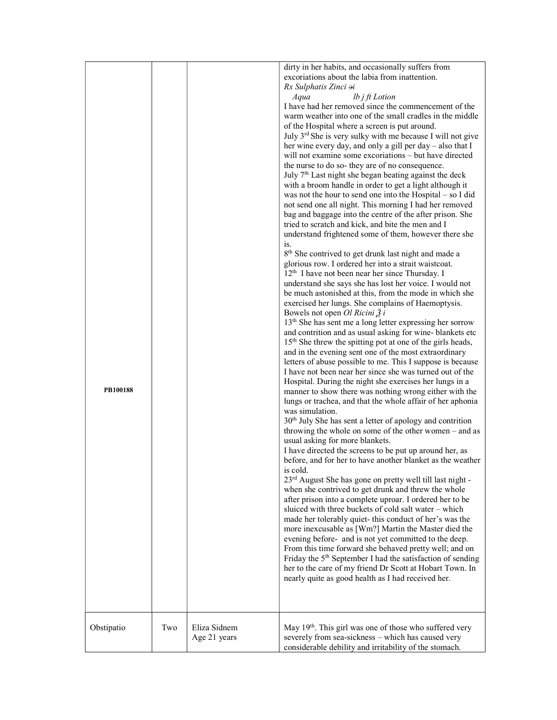| PB100188   |     |                              | dirty in her habits, and occasionally suffers from<br>excoriations about the labia from inattention.<br>Rx Sulphatis Zinci ai<br><i>lb</i> $j$ $ft$ $Lotion$<br>Aqua<br>I have had her removed since the commencement of the<br>warm weather into one of the small cradles in the middle<br>of the Hospital where a screen is put around.<br>July 3rd She is very sulky with me because I will not give<br>her wine every day, and only a gill per day - also that I<br>will not examine some excoriations – but have directed<br>the nurse to do so- they are of no consequence.<br>July 7 <sup>th</sup> Last night she began beating against the deck<br>with a broom handle in order to get a light although it<br>was not the hour to send one into the Hospital $-$ so I did<br>not send one all night. This morning I had her removed<br>bag and baggage into the centre of the after prison. She<br>tried to scratch and kick, and bite the men and I<br>understand frightened some of them, however there she<br>is.<br>8 <sup>th</sup> She contrived to get drunk last night and made a<br>glorious row. I ordered her into a strait waistcoat.<br>12 <sup>th</sup> I have not been near her since Thursday. I<br>understand she says she has lost her voice. I would not<br>be much astonished at this, from the mode in which she<br>exercised her lungs. She complains of Haemoptysis.<br>Bowels not open <i>Ol Ricini</i> $\tilde{Z}$ <i>i</i><br>13 <sup>th</sup> She has sent me a long letter expressing her sorrow<br>and contrition and as usual asking for wine-blankets etc<br>15 <sup>th</sup> She threw the spitting pot at one of the girls heads,<br>and in the evening sent one of the most extraordinary<br>letters of abuse possible to me. This I suppose is because<br>I have not been near her since she was turned out of the<br>Hospital. During the night she exercises her lungs in a<br>manner to show there was nothing wrong either with the<br>lungs or trachea, and that the whole affair of her aphonia<br>was simulation.<br>30 <sup>th</sup> July She has sent a letter of apology and contrition<br>throwing the whole on some of the other women - and as<br>usual asking for more blankets.<br>I have directed the screens to be put up around her, as<br>before, and for her to have another blanket as the weather<br>is cold.<br>23 <sup>rd</sup> August She has gone on pretty well till last night -<br>when she contrived to get drunk and threw the whole<br>after prison into a complete uproar. I ordered her to be<br>sluiced with three buckets of cold salt water - which<br>made her tolerably quiet- this conduct of her's was the<br>more inexcusable as [Wm?] Martin the Master died the<br>evening before- and is not yet committed to the deep.<br>From this time forward she behaved pretty well; and on<br>Friday the 5 <sup>th</sup> September I had the satisfaction of sending<br>her to the care of my friend Dr Scott at Hobart Town. In<br>nearly quite as good health as I had received her. |
|------------|-----|------------------------------|----------------------------------------------------------------------------------------------------------------------------------------------------------------------------------------------------------------------------------------------------------------------------------------------------------------------------------------------------------------------------------------------------------------------------------------------------------------------------------------------------------------------------------------------------------------------------------------------------------------------------------------------------------------------------------------------------------------------------------------------------------------------------------------------------------------------------------------------------------------------------------------------------------------------------------------------------------------------------------------------------------------------------------------------------------------------------------------------------------------------------------------------------------------------------------------------------------------------------------------------------------------------------------------------------------------------------------------------------------------------------------------------------------------------------------------------------------------------------------------------------------------------------------------------------------------------------------------------------------------------------------------------------------------------------------------------------------------------------------------------------------------------------------------------------------------------------------------------------------------------------------------------------------------------------------------------------------------------------------------------------------------------------------------------------------------------------------------------------------------------------------------------------------------------------------------------------------------------------------------------------------------------------------------------------------------------------------------------------------------------------------------------------------------------------------------------------------------------------------------------------------------------------------------------------------------------------------------------------------------------------------------------------------------------------------------------------------------------------------------------------------------------------------------------------------------------------------------------------------------------------------------------------------------------------------------------------------------------------------------------------------------------------------------------------------------------|
| Obstipatio | Two | Eliza Sidnem<br>Age 21 years | May 19 <sup>th</sup> . This girl was one of those who suffered very<br>severely from sea-sickness - which has caused very<br>considerable debility and irritability of the stomach.                                                                                                                                                                                                                                                                                                                                                                                                                                                                                                                                                                                                                                                                                                                                                                                                                                                                                                                                                                                                                                                                                                                                                                                                                                                                                                                                                                                                                                                                                                                                                                                                                                                                                                                                                                                                                                                                                                                                                                                                                                                                                                                                                                                                                                                                                                                                                                                                                                                                                                                                                                                                                                                                                                                                                                                                                                                                                  |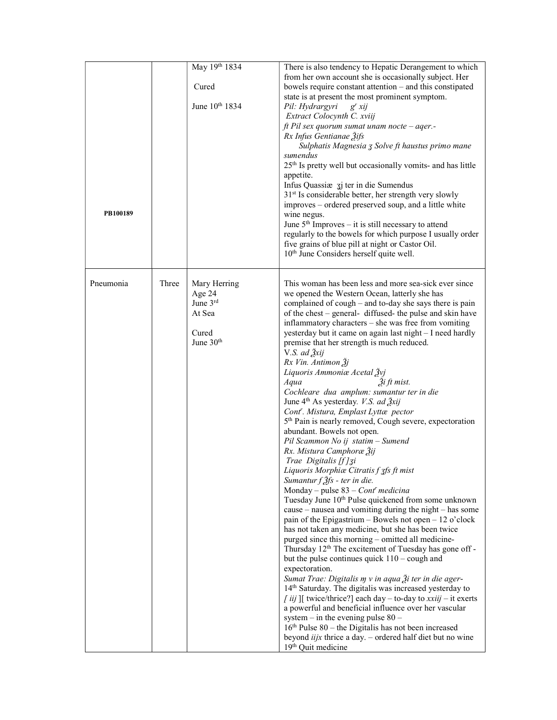| PB100189  |       | May 19th 1834<br>Cured<br>June 10th 1834                             | There is also tendency to Hepatic Derangement to which<br>from her own account she is occasionally subject. Her<br>bowels require constant attention - and this constipated<br>state is at present the most prominent symptom.<br>Pil: Hydrargyri<br>$g^{r} x i j$<br>Extract Colocynth C. xviij<br>ft Pil sex quorum sumat unam nocte - aqer.-<br>Rx Infus Gentianae 3ifs<br>Sulphatis Magnesia 3 Solve ft haustus primo mane<br>sumendus<br>25 <sup>th</sup> Is pretty well but occasionally vomits- and has little<br>appetite.<br>Infus Quassiæ zj ter in die Sumendus<br>31 <sup>st</sup> Is considerable better, her strength very slowly<br>improves – ordered preserved soup, and a little white<br>wine negus.<br>June $5th$ Improves – it is still necessary to attend<br>regularly to the bowels for which purpose I usually order<br>five grains of blue pill at night or Castor Oil.<br>10 <sup>th</sup> June Considers herself quite well.                                                                                                                                                                                                                                                                                                                                                                                                                                                                                                                                                                                                                                                                                                                                                                                                                                                                                                                                                                           |
|-----------|-------|----------------------------------------------------------------------|------------------------------------------------------------------------------------------------------------------------------------------------------------------------------------------------------------------------------------------------------------------------------------------------------------------------------------------------------------------------------------------------------------------------------------------------------------------------------------------------------------------------------------------------------------------------------------------------------------------------------------------------------------------------------------------------------------------------------------------------------------------------------------------------------------------------------------------------------------------------------------------------------------------------------------------------------------------------------------------------------------------------------------------------------------------------------------------------------------------------------------------------------------------------------------------------------------------------------------------------------------------------------------------------------------------------------------------------------------------------------------------------------------------------------------------------------------------------------------------------------------------------------------------------------------------------------------------------------------------------------------------------------------------------------------------------------------------------------------------------------------------------------------------------------------------------------------------------------------------------------------------------------------------------------------|
| Pneumonia | Three | Mary Herring<br>Age 24<br>June 3rd<br>At Sea<br>Cured<br>June $30th$ | This woman has been less and more sea-sick ever since<br>we opened the Western Ocean, latterly she has<br>complained of cough – and to-day she says there is pain<br>of the chest – general- diffused- the pulse and skin have<br>inflammatory characters - she was free from vomiting<br>yesterday but it came on again last night - I need hardly<br>premise that her strength is much reduced.<br>V.S. ad $\frac{3}{2}$ xij<br>Rx Vin. Antimon Žj<br>Liquoris Ammoniæ Acetal Žvj<br>Aqua<br>$\tilde{2}$ <i>i</i> ft mist.<br>Cochleare dua amplum: sumantur ter in die<br>June 4 <sup>th</sup> As yesterday. V.S. ad 2xij<br>Cont''. Mistura, Emplast Lyttæ pector<br>5 <sup>th</sup> Pain is nearly removed, Cough severe, expectoration<br>abundant. Bowels not open.<br>Pil Scammon No ij statim - Sumend<br>Rx. Mistura Camphoræ Žij<br>Trae Digitalis [f] 3i<br>Liquoris Morphiæ Citratis f 3fs ft mist<br>Sumantur $f \tilde{\mathcal{J}}$ fs - ter in die.<br>Monday – pulse $83$ – Cont' medicina<br>Tuesday June 10 <sup>th</sup> Pulse quickened from some unknown<br>cause – nausea and vomiting during the night – has some<br>pain of the Epigastrium - Bowels not open - 12 o'clock<br>has not taken any medicine, but she has been twice<br>purged since this morning - omitted all medicine-<br>Thursday 12 <sup>th</sup> The excitement of Tuesday has gone off -<br>but the pulse continues quick $110 - \text{cough}$ and<br>expectoration.<br>Sumat Trae: Digitalis m v in aqua Ži ter in die ager-<br>14th Saturday. The digitalis was increased yesterday to<br><i>[iij</i> ][ twice/thrice?] each day – to-day to $xxiij$ – it exerts<br>a powerful and beneficial influence over her vascular<br>system – in the evening pulse $80 -$<br>$16th$ Pulse 80 – the Digitalis has not been increased<br>beyond <i>iijx</i> thrice a day. $-$ ordered half diet but no wine<br>19 <sup>th</sup> Quit medicine |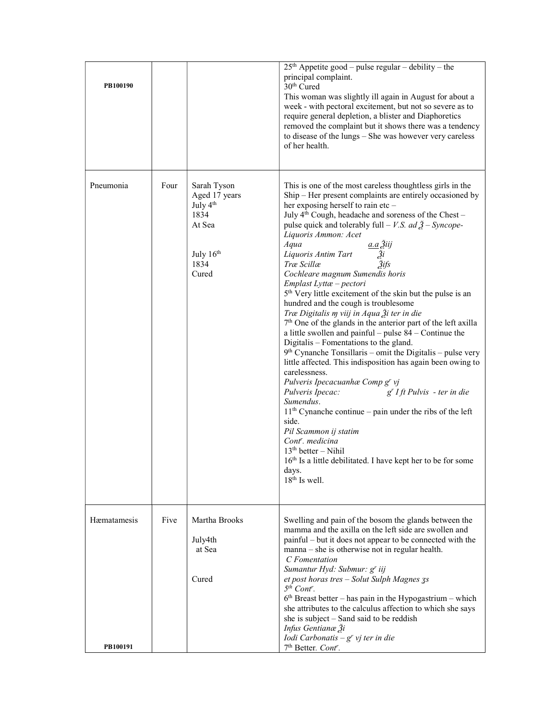| PB100190    |      |                                                                                              | $25th$ Appetite good – pulse regular – debility – the<br>principal complaint.<br>30 <sup>th</sup> Cured<br>This woman was slightly ill again in August for about a<br>week - with pectoral excitement, but not so severe as to<br>require general depletion, a blister and Diaphoretics<br>removed the complaint but it shows there was a tendency<br>to disease of the lungs - She was however very careless<br>of her health.                                                                                                                                                                                                                                                                                                                                                                                                                                                                                                                                                                                                                                                                                                                                                                                                                                                                                                                              |
|-------------|------|----------------------------------------------------------------------------------------------|--------------------------------------------------------------------------------------------------------------------------------------------------------------------------------------------------------------------------------------------------------------------------------------------------------------------------------------------------------------------------------------------------------------------------------------------------------------------------------------------------------------------------------------------------------------------------------------------------------------------------------------------------------------------------------------------------------------------------------------------------------------------------------------------------------------------------------------------------------------------------------------------------------------------------------------------------------------------------------------------------------------------------------------------------------------------------------------------------------------------------------------------------------------------------------------------------------------------------------------------------------------------------------------------------------------------------------------------------------------|
| Pneumonia   | Four | Sarah Tyson<br>Aged 17 years<br>July $4th$<br>1834<br>At Sea<br>July $16th$<br>1834<br>Cured | This is one of the most careless thoughtless girls in the<br>Ship – Her present complaints are entirely occasioned by<br>her exposing herself to rain etc -<br>July 4 <sup>th</sup> Cough, headache and soreness of the Chest -<br>pulse quick and tolerably full – V.S. ad $\tilde{A}$ – Syncope-<br>Liquoris Ammon: Acet<br><u>a.a Žiij</u><br>Aqua<br>$\frac{z}{2i}$<br>$\frac{z}{2}$ ifs<br>Liquoris Antim Tart<br>Træ Scillæ<br>Cochleare magnum Sumendis horis<br>Emplast Lyttæ – pectori<br>5 <sup>th</sup> Very little excitement of the skin but the pulse is an<br>hundred and the cough is troublesome<br>Træ Digitalis m viij in Aqua Ži ter in die<br>$7th$ One of the glands in the anterior part of the left axilla<br>a little swollen and painful – pulse $84$ – Continue the<br>Digitalis – Fomentations to the gland.<br>$9th$ Cynanche Tonsillaris – omit the Digitalis – pulse very<br>little affected. This indisposition has again been owing to<br>carelessness.<br>Pulveris Ipecacuanhæ Comp g' vj<br>g <sup>r</sup> I ft Pulvis - ter in die<br>Pulveris Ipecac:<br>Sumendus.<br>$11th$ Cynanche continue – pain under the ribs of the left<br>side.<br>Pil Scammon ij statim<br>Cont <sup>r</sup> . medicina<br>$13th better - Nihil$<br>16th Is a little debilitated. I have kept her to be for some<br>days.<br>$18th$ Is well. |
| Hæmatamesis | Five | Martha Brooks<br>July4th<br>at Sea<br>Cured                                                  | Swelling and pain of the bosom the glands between the<br>mamma and the axilla on the left side are swollen and<br>painful – but it does not appear to be connected with the<br>manna - she is otherwise not in regular health.<br>C Fomentation<br>Sumantur Hyd: Submur: g' iij                                                                                                                                                                                                                                                                                                                                                                                                                                                                                                                                                                                                                                                                                                                                                                                                                                                                                                                                                                                                                                                                              |
| PB100191    |      |                                                                                              | et post horas tres - Solut Sulph Magnes 3s<br>$5th$ Cont <sup>r</sup> .<br>$6th$ Breast better – has pain in the Hypogastrium – which<br>she attributes to the calculus affection to which she says<br>she is subject - Sand said to be reddish<br>Infus Gentianæ Ži<br>Iodi Carbonatis $-gr$ vj ter in die<br>7 <sup>th</sup> Better. Cont <sup>r</sup> .                                                                                                                                                                                                                                                                                                                                                                                                                                                                                                                                                                                                                                                                                                                                                                                                                                                                                                                                                                                                   |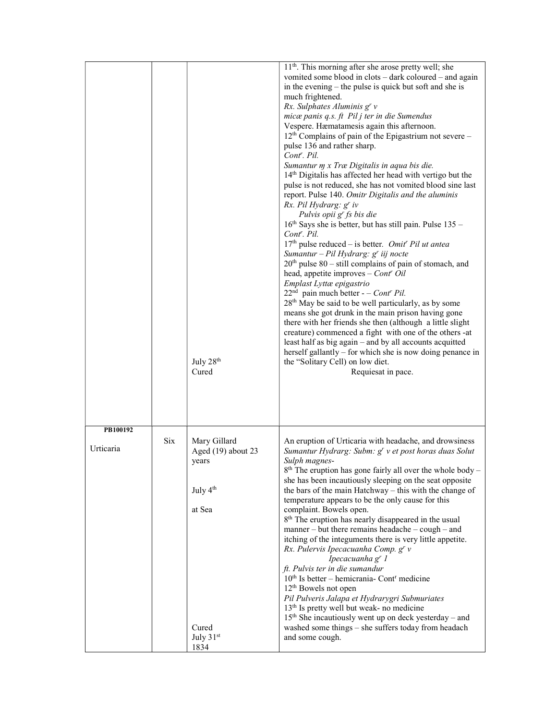|                       |            | July 28 <sup>th</sup><br>Cured                                                                                | 11 <sup>th</sup> . This morning after she arose pretty well; she<br>vomited some blood in clots – dark coloured – and again<br>in the evening – the pulse is quick but soft and she is<br>much frightened.<br>Rx. Sulphates Aluminis $gr$ v<br>micæ panis q.s. ft Pil j ter in die Sumendus<br>Vespere. Hæmatamesis again this afternoon.<br>$12th$ Complains of pain of the Epigastrium not severe –<br>pulse 136 and rather sharp.<br>Cont <sup>r</sup> . Pil.<br>Sumantur m x Træ Digitalis in aqua bis die.<br>14th Digitalis has affected her head with vertigo but the<br>pulse is not reduced, she has not vomited blood sine last<br>report. Pulse 140. Omitr Digitalis and the aluminis<br>Rx. Pil Hydrarg: g' iv<br>Pulvis opii g' fs bis die<br>16 <sup>th</sup> Says she is better, but has still pain. Pulse 135 -<br>Cont <sup>r</sup> . Pil.<br>$17th$ pulse reduced – is better. Omit' Pil ut antea<br>Sumantur - Pil Hydrarg: g' iij nocte<br>$20th$ pulse 80 – still complains of pain of stomach, and<br>head, appetite improves $-$ Cont <sup>r</sup> Oil<br>Emplast Lyttæ epigastrio<br>$22nd$ pain much better - - Cont <sup>r</sup> Pil.<br>28 <sup>th</sup> May be said to be well particularly, as by some<br>means she got drunk in the main prison having gone<br>there with her friends she then (although a little slight<br>creature) commenced a fight with one of the others -at<br>least half as big again – and by all accounts acquitted<br>herself gallantly – for which she is now doing penance in<br>the "Solitary Cell) on low diet.<br>Requiesat in pace. |
|-----------------------|------------|---------------------------------------------------------------------------------------------------------------|----------------------------------------------------------------------------------------------------------------------------------------------------------------------------------------------------------------------------------------------------------------------------------------------------------------------------------------------------------------------------------------------------------------------------------------------------------------------------------------------------------------------------------------------------------------------------------------------------------------------------------------------------------------------------------------------------------------------------------------------------------------------------------------------------------------------------------------------------------------------------------------------------------------------------------------------------------------------------------------------------------------------------------------------------------------------------------------------------------------------------------------------------------------------------------------------------------------------------------------------------------------------------------------------------------------------------------------------------------------------------------------------------------------------------------------------------------------------------------------------------------------------------------------------------------------------------------------------------|
| PB100192<br>Urticaria | <b>Six</b> | Mary Gillard<br>Aged (19) about 23<br>years<br>July 4 <sup>th</sup><br>at Sea<br>Cured<br>July $31st$<br>1834 | An eruption of Urticaria with headache, and drowsiness<br>Sumantur Hydrarg: Subm: g' v et post horas duas Solut<br>Sulph magnes-<br>$8th$ The eruption has gone fairly all over the whole body -<br>she has been incautiously sleeping on the seat opposite<br>the bars of the main Hatchway – this with the change of<br>temperature appears to be the only cause for this<br>complaint. Bowels open.<br>8 <sup>th</sup> The eruption has nearly disappeared in the usual<br>manner – but there remains headache – cough – and<br>itching of the integuments there is very little appetite.<br>Rx. Pulervis Ipecacuanha Comp. g' v<br>Ipecacuanha g' 1<br>ft. Pulvis ter in die sumandur<br>$10th$ Is better – hemicrania- Cont <sup>r</sup> medicine<br>12 <sup>th</sup> Bowels not open<br>Pil Pulveris Jalapa et Hydrarygri Submuriates<br>13 <sup>th</sup> Is pretty well but weak- no medicine<br>15 <sup>th</sup> She incautiously went up on deck yesterday – and<br>washed some things - she suffers today from headach<br>and some cough.                                                                                                                                                                                                                                                                                                                                                                                                                                                                                                                                                |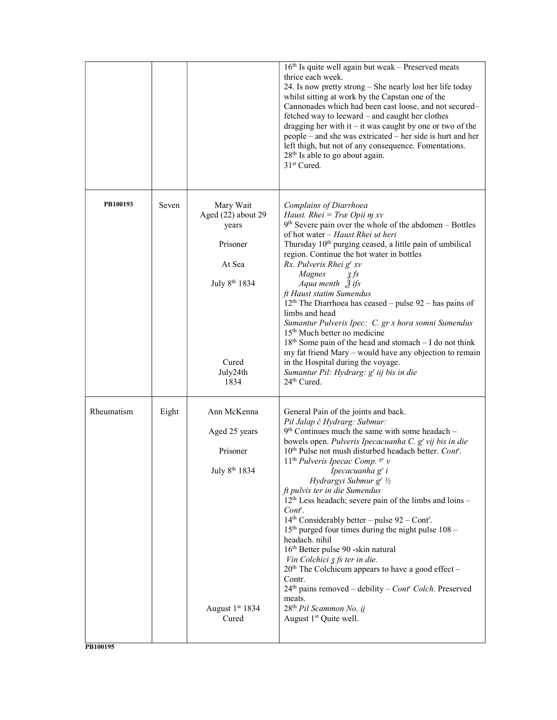|            |       |                                                                                                                          | 16 <sup>th</sup> Is quite well again but weak - Preserved meats<br>thrice each week.<br>24. Is now pretty strong - She nearly lost her life today<br>whilst sitting at work by the Capstan one of the<br>Cannonades which had been cast loose, and not secured-<br>fetched way to leeward – and caught her clothes<br>dragging her with it $-$ it was caught by one or two of the<br>people – and she was extricated – her side is hurt and her<br>left thigh, but not of any consequence. Fomentations.<br>28 <sup>th</sup> Is able to go about again.<br>31 <sup>st</sup> Cured.                                                                                                                                                                                                                                                                                                                                                |
|------------|-------|--------------------------------------------------------------------------------------------------------------------------|-----------------------------------------------------------------------------------------------------------------------------------------------------------------------------------------------------------------------------------------------------------------------------------------------------------------------------------------------------------------------------------------------------------------------------------------------------------------------------------------------------------------------------------------------------------------------------------------------------------------------------------------------------------------------------------------------------------------------------------------------------------------------------------------------------------------------------------------------------------------------------------------------------------------------------------|
| PB100193   | Seven | Mary Wait<br>Aged (22) about 29<br>years<br>Prisoner<br>At Sea<br>July 8 <sup>th</sup> 1834<br>Cured<br>July24th<br>1834 | Complains of Diarrhoea<br>Haust. Rhei = Træ Opii $m$ xv<br>$9th$ Severe pain over the whole of the abdomen – Bottles<br>of hot water – Haust Rhei ut heri<br>Thursday 10 <sup>th</sup> purging ceased, a little pain of umbilical<br>region. Continue the hot water in bottles<br>Rx. Pulveris Rhei g' xv<br>Magnes<br>3f <sub>S</sub><br>Aqua menth $\tilde{Z}$ ifs<br>ft Haust statim Sumendus<br>$12th$ The Diarrhoea has ceased – pulse 92 – has pains of<br>limbs and head<br>Sumantur Pulveris Ipec: C. gr x hora somni Sumendus<br>15 <sup>th</sup> Much better no medicine<br>$18th$ Some pain of the head and stomach – I do not think<br>my fat friend Mary - would have any objection to remain<br>in the Hospital during the voyage.<br>Sumantur Pil: Hydrarg: g' iij bis in die<br>24th Cured.                                                                                                                       |
| Rheumatism | Eight | Ann McKenna<br>Aged 25 years<br>Prisoner<br>July 8 <sup>th</sup> 1834<br>August 1st 1834<br>Cured                        | General Pain of the joints and back.<br>Pil Jalap č Hydrarg: Submur:<br>$9th$ Continues much the same with some headach –<br>bowels open. Pulveris Ipecacuanha C. g' vij bis in die<br>10 <sup>th</sup> Pulse not mush disturbed headach better. Cont'.<br>$11th$ Pulveris Ipecac Comp. $gr$ v<br>Ipecacuanha g' i<br>Hydrargyi Submur gr 1/2<br>ft pulvis ter in die Sumendus<br>12 <sup>th</sup> Less headach; severe pain of the limbs and loins -<br>Cont <sup>r</sup> .<br>$14th$ Considerably better – pulse 92 – Cont <sup>r</sup> .<br>$15th$ purged four times during the night pulse $108 -$<br>headach. nihil<br>16th Better pulse 90 -skin natural<br>Vin Colchici $\overline{z}$ fs ter in die.<br>$20th$ The Colchicum appears to have a good effect –<br>Contr.<br>$24th$ pains removed – debility – Cont' Colch. Preserved<br>meats.<br>28 <sup>th</sup> Pil Scammon No. ij<br>August 1 <sup>st</sup> Quite well. |

PB100195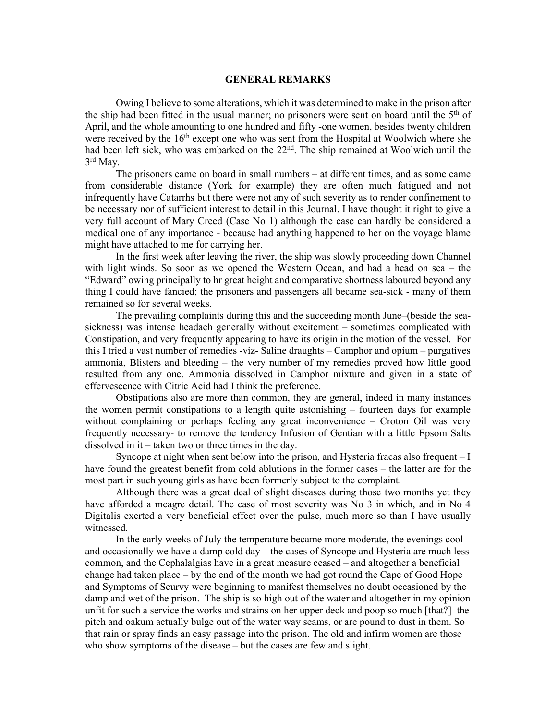## GENERAL REMARKS

Owing I believe to some alterations, which it was determined to make in the prison after the ship had been fitted in the usual manner; no prisoners were sent on board until the  $5<sup>th</sup>$  of April, and the whole amounting to one hundred and fifty -one women, besides twenty children were received by the 16<sup>th</sup> except one who was sent from the Hospital at Woolwich where she had been left sick, who was embarked on the 22<sup>nd</sup>. The ship remained at Woolwich until the 3 rd May.

The prisoners came on board in small numbers – at different times, and as some came from considerable distance (York for example) they are often much fatigued and not infrequently have Catarrhs but there were not any of such severity as to render confinement to be necessary nor of sufficient interest to detail in this Journal. I have thought it right to give a very full account of Mary Creed (Case No 1) although the case can hardly be considered a medical one of any importance - because had anything happened to her on the voyage blame might have attached to me for carrying her.

In the first week after leaving the river, the ship was slowly proceeding down Channel with light winds. So soon as we opened the Western Ocean, and had a head on sea – the "Edward" owing principally to hr great height and comparative shortness laboured beyond any thing I could have fancied; the prisoners and passengers all became sea-sick - many of them remained so for several weeks.

The prevailing complaints during this and the succeeding month June–(beside the seasickness) was intense headach generally without excitement – sometimes complicated with Constipation, and very frequently appearing to have its origin in the motion of the vessel. For this I tried a vast number of remedies -viz- Saline draughts – Camphor and opium – purgatives ammonia, Blisters and bleeding – the very number of my remedies proved how little good resulted from any one. Ammonia dissolved in Camphor mixture and given in a state of effervescence with Citric Acid had I think the preference.

Obstipations also are more than common, they are general, indeed in many instances the women permit constipations to a length quite astonishing – fourteen days for example without complaining or perhaps feeling any great inconvenience – Croton Oil was very frequently necessary- to remove the tendency Infusion of Gentian with a little Epsom Salts dissolved in it – taken two or three times in the day.

Syncope at night when sent below into the prison, and Hysteria fracas also frequent – I have found the greatest benefit from cold ablutions in the former cases – the latter are for the most part in such young girls as have been formerly subject to the complaint.

Although there was a great deal of slight diseases during those two months yet they have afforded a meagre detail. The case of most severity was No 3 in which, and in No 4 Digitalis exerted a very beneficial effect over the pulse, much more so than I have usually witnessed.

In the early weeks of July the temperature became more moderate, the evenings cool and occasionally we have a damp cold day – the cases of Syncope and Hysteria are much less common, and the Cephalalgias have in a great measure ceased – and altogether a beneficial change had taken place – by the end of the month we had got round the Cape of Good Hope and Symptoms of Scurvy were beginning to manifest themselves no doubt occasioned by the damp and wet of the prison. The ship is so high out of the water and altogether in my opinion unfit for such a service the works and strains on her upper deck and poop so much [that?] the pitch and oakum actually bulge out of the water way seams, or are pound to dust in them. So that rain or spray finds an easy passage into the prison. The old and infirm women are those who show symptoms of the disease – but the cases are few and slight.